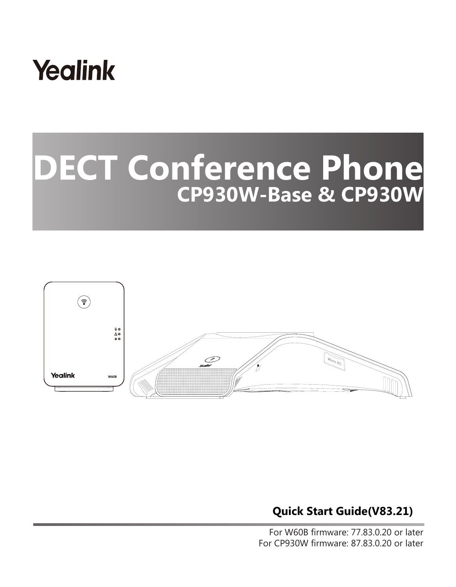

# **DECT Conference Phone CP930W-Base & CP930W**



**Quick Start Guide(V83.21)**

For W60B firmware: 77.83.0.20 or later For CP930W firmware: 87.83.0.20 or later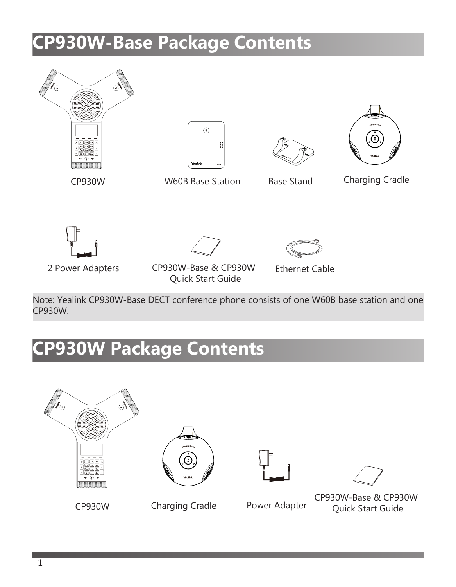## **CP930W-Base Package Contents**









CP930W W60B Base Station Base Stand Charging Cradle



2 Power Adapters CP930W-Base & CP930W Quick Start Guide



Ethernet Cable

Note: Yealink CP930W-Base DECT conference phone consists of one W60B base station and one CP930W.

## **CP930W Package Contents**



CP930W







Charging Cradle Power Adapter

CP930W-Base & CP930W Quick Start Guide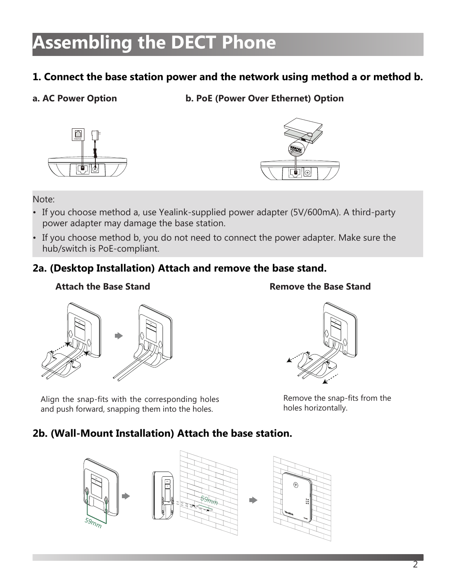# **Assembling the DECT Phone**

#### **1. Connect the base station power and the network using method a or method b.**

**a. AC Power Option b. PoE (Power Over Ethernet) Option**





Note:

- If you choose method a, use Yealink-supplied power adapter (5V/600mA). A third-party power adapter may damage the base station.
- If you choose method b, you do not need to connect the power adapter. Make sure the hub/switch is PoE-compliant.

#### **2a. (Desktop Installation) Attach and remove the base stand.**



Align the snap-fits with the corresponding holes and push forward, snapping them into the holes.

#### **Attach the Base Stand Remove the Base Stand**



Remove the snap-fits from the holes horizontally.

#### **2b. (Wall-Mount Installation) Attach the base station.**

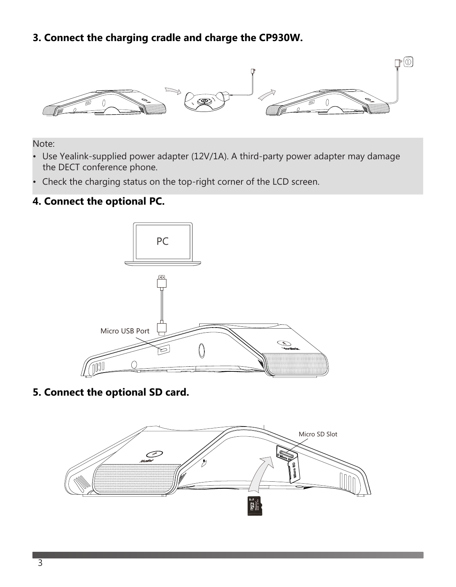#### **3. Connect the charging cradle and charge the CP930W.**



Note:

- Use Yealink-supplied power adapter (12V/1A). A third-party power adapter may damage the DECT conference phone.
- Check the charging status on the top-right corner of the LCD screen.

#### **4. Connect the optional PC.**



**5. Connect the optional SD card.**

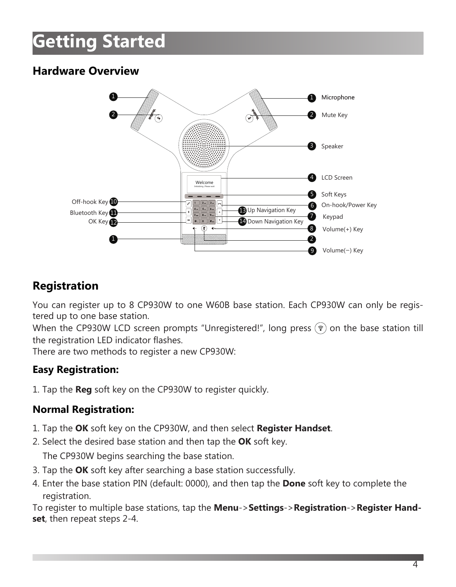# **Getting Started**

### **Hardware Overview**



### **Registration**

You can register up to 8 CP930W to one W60B base station. Each CP930W can only be registered up to one base station.

When the CP930W LCD screen prompts "Unregistered!", long press  $\binom{?}{?}$  on the base station till the registration LED indicator flashes.

There are two methods to register a new CP930W:

#### **Easy Registration:**

1. Tap the **Reg** soft key on the CP930W to register quickly.

#### **Normal Registration:**

- 1. Tap the **OK** soft key on the CP930W, and then select **Register Handset**.
- 2. Select the desired base station and then tap the **OK** soft key.

The CP930W begins searching the base station.

- 3. Tap the **OK** soft key after searching a base station successfully.
- 4. Enter the base station PIN (default: 0000), and then tap the **Done** soft key to complete the registration.

To register to multiple base stations, tap the **Menu**->**Settings**->**Registration**->**Register Handset**, then repeat steps 2-4.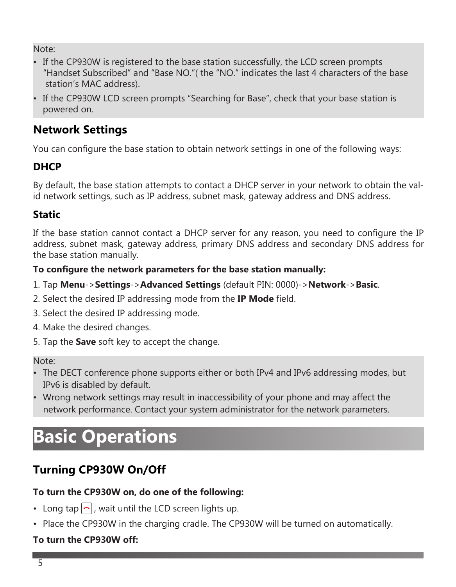Note:

- If the CP930W is registered to the base station successfully, the LCD screen prompts "Handset Subscribed" and "Base NO."( the "NO." indicates the last 4 characters of the base station's MAC address).
- If the CP930W LCD screen prompts "Searching for Base", check that your base station is powered on.

### **Network Settings**

You can configure the base station to obtain network settings in one of the following ways:

#### **DHCP**

By default, the base station attempts to contact a DHCP server in your network to obtain the valid network settings, such as IP address, subnet mask, gateway address and DNS address.

#### **Static**

If the base station cannot contact a DHCP server for any reason, you need to configure the IP address, subnet mask, gateway address, primary DNS address and secondary DNS address for the base station manually.

#### **To configure the network parameters for the base station manually:**

- 1. Tap **Menu**->**Settings**->**Advanced Settings** (default PIN: 0000)->**Network**->**Basic**.
- 2. Select the desired IP addressing mode from the **IP Mode** field.
- 3. Select the desired IP addressing mode.
- 4. Make the desired changes.
- 5. Tap the **Save** soft key to accept the change.

#### Note:

- The DECT conference phone supports either or both IPv4 and IPv6 addressing modes, but IPv6 is disabled by default.
- Wrong network settings may result in inaccessibility of your phone and may affect the network performance. Contact your system administrator for the network parameters.

# **Basic Operations**

### **Turning CP930W On/Off**

#### **To turn the CP930W on, do one of the following:**

- Long tap  $\left| \mathbf{a} \right|$ , wait until the LCD screen lights up.
- Place the CP930W in the charging cradle. The CP930W will be turned on automatically.

#### **To turn the CP930W off:**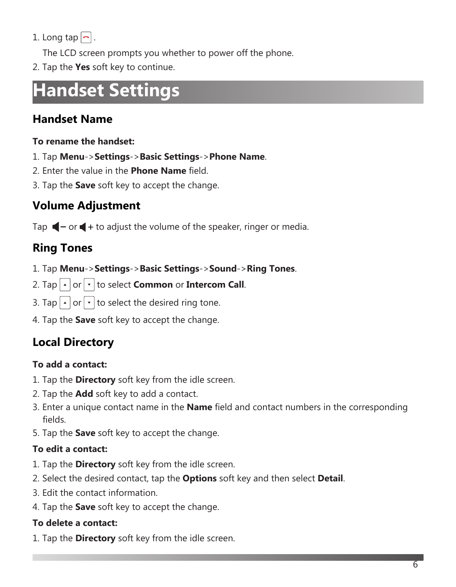1. Long tap  $\boxed{\frown}$ .

The LCD screen prompts you whether to power off the phone.

2. Tap the **Yes** soft key to continue.

## **Handset Settings**

#### **Handset Name**

#### **To rename the handset:**

- 1. Tap **Menu**->**Settings**->**Basic Settings**->**Phone Name**.
- 2. Enter the value in the **Phone Name** field.
- 3. Tap the **Save** soft key to accept the change.

### **Volume Adjustment**

Tap  $\blacktriangleleft$  - or  $\blacktriangleleft$  + to adjust the volume of the speaker, ringer or media.

#### **Ring Tones**

- 1. Tap **Menu**->**Settings**->**Basic Settings**->**Sound**->**Ring Tones**.
- 2. Tap  $\lceil \cdot \rceil$  or  $\lceil \cdot \rceil$  to select **Common** or **Intercom Call**.
- 3. Tap  $\lceil \cdot \rceil$  or  $\lceil \cdot \rceil$  to select the desired ring tone.
- 4. Tap the **Save** soft key to accept the change.

### **Local Directory**

#### **To add a contact:**

- 1. Tap the **Directory** soft key from the idle screen.
- 2. Tap the **Add** soft key to add a contact.
- 3. Enter a unique contact name in the **Name** field and contact numbers in the corresponding fields.
- 5. Tap the **Save** soft key to accept the change.

#### **To edit a contact:**

- 1. Tap the **Directory** soft key from the idle screen.
- 2. Select the desired contact, tap the **Options** soft key and then select **Detail**.
- 3. Edit the contact information.
- 4. Tap the **Save** soft key to accept the change.

#### **To delete a contact:**

1. Tap the **Directory** soft key from the idle screen.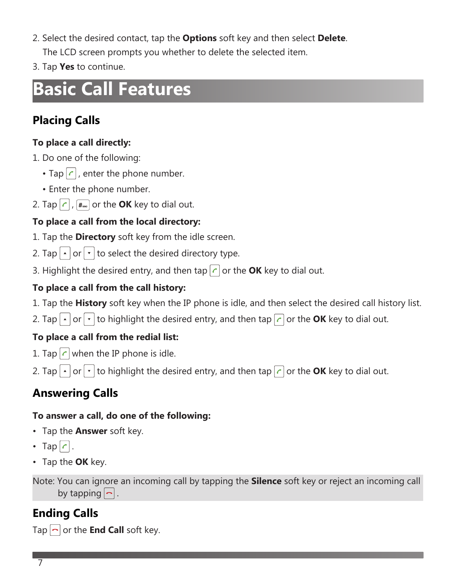2. Select the desired contact, tap the **Options** soft key and then select **Delete**.

The LCD screen prompts you whether to delete the selected item.

3. Tap **Yes** to continue.

## **Basic Call Features**

### **Placing Calls**

#### **To place a call directly:**

- 1. Do one of the following:
	- Tap  $|\cdot|$ , enter the phone number.
	- Enter the phone number.
- 2. Tap  $|c|$ ,  $|E_{\text{max}}|$  or the **OK** key to dial out.

#### **To place a call from the local directory:**

- 1. Tap the **Directory** soft key from the idle screen.
- 2. Tap  $\left| \cdot \right|$  or  $\left| \cdot \right|$  to select the desired directory type.
- 3. Highlight the desired entry, and then tap  $\lceil \cdot \rceil$  or the **OK** key to dial out.

#### **To place a call from the call history:**

- 1. Tap the **History** soft key when the IP phone is idle, and then select the desired call history list.
- 2. Tap  $\lceil \cdot \rceil$  or  $\lceil \cdot \rceil$  to highlight the desired entry, and then tap  $\lceil \cdot \rceil$  or the **OK** key to dial out.

#### **To place a call from the redial list:**

- 1. Tap  $|c|$  when the IP phone is idle.
- 2. Tap  $\lceil \cdot \rceil$  or  $\lceil \cdot \rceil$  to highlight the desired entry, and then tap  $\lceil \cdot \rceil$  or the **OK** key to dial out.

### **Answering Calls**

#### **To answer a call, do one of the following:**

- Tap the **Answer** soft key.
- Tap  $\lceil c \rceil$ .
- Tap the **OK** key.

Note: You can ignore an incoming call by tapping the **Silence** soft key or reject an incoming call by tapping  $|\neg|$ .

### **Ending Calls**

Tap  $\sim$  or the **End Call** soft key.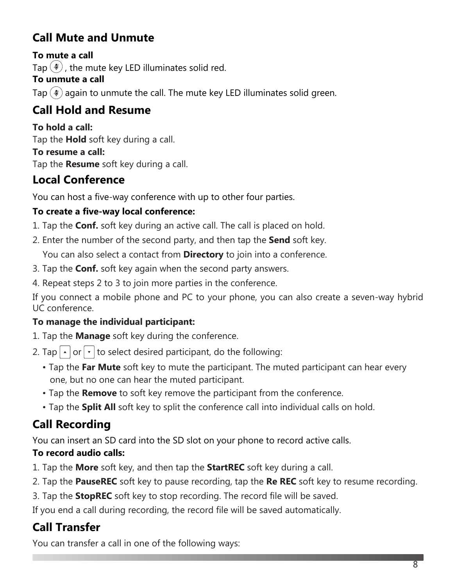### **Call Mute and Unmute**

**To mute a call** Tap  $(*)$ , the mute key LED illuminates solid red. **To unmute a call**

Tap  $(*)$  again to unmute the call. The mute key LED illuminates solid green.

### **Call Hold and Resume**

**To hold a call:** Tap the **Hold** soft key during a call.

**To resume a call:** Tap the **Resume** soft key during a call.

## **Local Conference**

You can host a five-way conference with up to other four parties.

#### **To create a five-way local conference:**

- 1. Tap the **Conf.** soft key during an active call. The call is placed on hold.
- 2. Enter the number of the second party, and then tap the **Send** soft key.

You can also select a contact from **Directory** to join into a conference.

- 3. Tap the **Conf.** soft key again when the second party answers.
- 4. Repeat steps 2 to 3 to join more parties in the conference.

If you connect a mobile phone and PC to your phone, you can also create a seven-way hybrid UC conference.

#### **To manage the individual participant:**

- 1. Tap the **Manage** soft key during the conference.
- 2. Tap  $\lceil \cdot \rceil$  or  $\lceil \cdot \rceil$  to select desired participant, do the following:
	- Tap the **Far Mute** soft key to mute the participant. The muted participant can hear every one, but no one can hear the muted participant.
	- Tap the **Remove** to soft key remove the participant from the conference.
	- Tap the **Split All** soft key to split the conference call into individual calls on hold.

## **Call Recording**

You can insert an SD card into the SD slot on your phone to record active calls.

#### **To record audio calls:**

- 1. Tap the **More** soft key, and then tap the **StartREC** soft key during a call.
- 2. Tap the **PauseREC** soft key to pause recording, tap the **Re REC** soft key to resume recording.
- 3. Tap the **StopREC** soft key to stop recording. The record file will be saved.

If you end a call during recording, the record file will be saved automatically.

## **Call Transfer**

You can transfer a call in one of the following ways: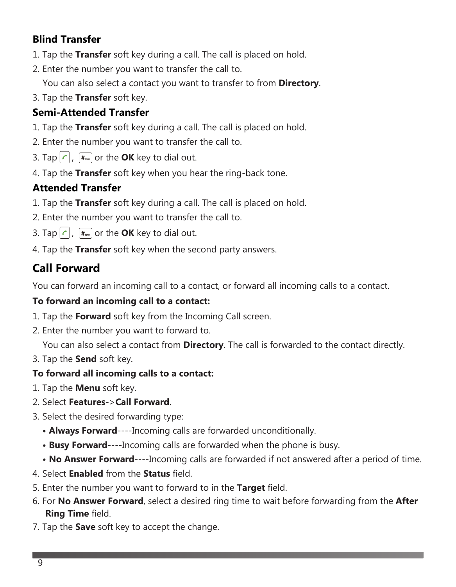#### **Blind Transfer**

- 1. Tap the **Transfer** soft key during a call. The call is placed on hold.
- 2. Enter the number you want to transfer the call to.
	- You can also select a contact you want to transfer to from **Directory**.
- 3. Tap the **Transfer** soft key.

#### **Semi-Attended Transfer**

- 1. Tap the **Transfer** soft key during a call. The call is placed on hold.
- 2. Enter the number you want to transfer the call to.
- 3. Tap  $|c|$ ,  $\left| \frac{d}{dx} \right|$  or the **OK** key to dial out.
- 4. Tap the **Transfer** soft key when you hear the ring-back tone.

#### **Attended Transfer**

- 1. Tap the **Transfer** soft key during a call. The call is placed on hold.
- 2. Enter the number you want to transfer the call to.
- 3. Tap  $|c|$ ,  $\left| \frac{d}{dx} \right|$  or the **OK** key to dial out.
- 4. Tap the **Transfer** soft key when the second party answers.

### **Call Forward**

You can forward an incoming call to a contact, or forward all incoming calls to a contact.

#### **To forward an incoming call to a contact:**

- 1. Tap the **Forward** soft key from the Incoming Call screen.
- 2. Enter the number you want to forward to.

You can also select a contact from **Directory**. The call is forwarded to the contact directly.

3. Tap the **Send** soft key.

#### **To forward all incoming calls to a contact:**

- 1. Tap the **Menu** soft key.
- 2. Select **Features**->**Call Forward**.
- 3. Select the desired forwarding type:
	- **• Always Forward**----Incoming calls are forwarded unconditionally.
	- **• Busy Forward**----Incoming calls are forwarded when the phone is busy.
	- **• No Answer Forward**----Incoming calls are forwarded if not answered after a period of time.
- 4. Select **Enabled** from the **Status** field.
- 5. Enter the number you want to forward to in the **Target** field.
- 6. For **No Answer Forward**, select a desired ring time to wait before forwarding from the **After Ring Time** field.
- 7. Tap the **Save** soft key to accept the change.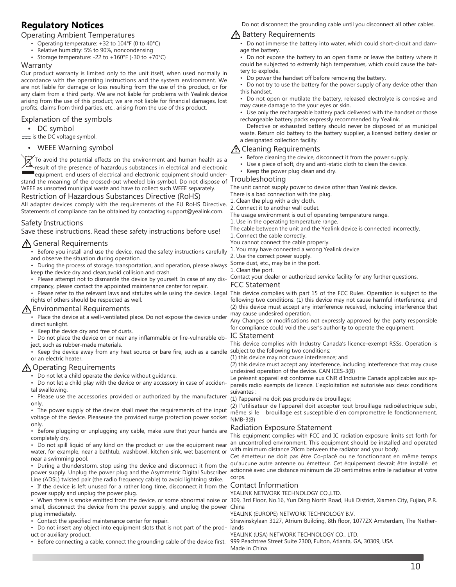#### **Regulatory Notices**

Operating Ambient Temperatures

- Operating temperature: +32 to 104°F (0 to 40°C)
- Relative humidity: 5% to 90%, noncondensing
- Storage temperature: -22 to +160°F (-30 to +70°C)

#### Warranty

Our product warranty is limited only to the unit itself, when used normally in accordance with the operating instructions and the system environment. We are not liable for damage or loss resulting from the use of this product, or for any claim from a third party. We are not liable for problems with Yealink device arising from the use of this product; we are not liable for financial damages, lost profits, claims from third parties, etc., arising from the use of this product.

#### Explanation of the symbols

• DC symbol

 $\frac{1}{\sqrt{1-\epsilon}}$  is the DC voltage symbol.

• WEEE Warning symbol

To avoid the potential effects on the environment and human health as a result of the presence of hazardous substances in electrical and electronic equipment, end users of electrical and electronic equipment should understand the meaning of the crossed-out wheeled bin symbol. Do not dispose of Troubleshooting WEEE as unsorted municipal waste and have to collect such WEEE separately.

#### Restriction of Hazardous Substances Directive (RoHS)

All adapter devices comply with the requirements of the EU RoHS Directive. Statements of compliance can be obtained by contacting support@yealink.com.

#### Safety Instructions

Save these instructions. Read these safety instructions before use!

#### △ General Requirements

- Before you install and use the device, read the safety instructions carefully and observe the situation during operation.
- During the process of storage, transportation, and operation, please always keep the device dry and clean,avoid collision and crash.
- Please attempt not to dismantle the device by yourself. In case of any discrepancy, please contact the appointed maintenance center for repair.
- rights of others should be respected as well.

#### ∧Environmental Requirements

• Place the device at a well-ventilated place. Do not expose the device under direct sunlight.

- Keep the device dry and free of dusts.
- Do not place the device on or near any inflammable or fire-vulnerable object, such as rubber-made materials.
- Keep the device away from any heat source or bare fire, such as a candle or an electric heater.

#### ∧Operating Requirements

• Do not let a child operate the device without guidance.

• Do not let a child play with the device or any accessory in case of accidental swallowing.

• Please use the accessories provided or authorized by the manufacturer only.

• The power supply of the device shall meet the requirements of the input voltage of the device. Pleaseuse the provided surge protection power socket NMB-3(B) only.

• Before plugging or unplugging any cable, make sure that your hands are completely dry.

• Do not spill liquid of any kind on the product or use the equipment near water, for example, near a bathtub, washbowl, kitchen sink, wet basement or near a swimming pool.

• During a thunderstorm, stop using the device and disconnect it from the power supply. Unplug the power plug and the Asymmetric Digital Subscriber Line (ADSL) twisted pair (the radio frequency cable) to avoid lightning strike.

• If the device is left unused for a rather long time, disconnect it from the Contact Information power supply and unplug the power plug.

smell, disconnect the device from the power supply, and unplug the power China plug immediately.

Contact the specified maintenance center for repair.

- Do not insert any object into equipment slots that is not part of the prod-lands uct or auxiliary product.
- Before connecting a cable, connect the grounding cable of the device first.

Do not disconnect the grounding cable until you disconnect all other cables.

#### ∧ Battery Requirements

• Do not immerse the battery into water, which could short-circuit and damage the battery.

• Do not expose the battery to an open flame or leave the battery where it could be subjected to extremly high temperatues, which could cause the battery to explode.

• Do power the handset off before removing the battery.

• Do not try to use the battery for the power supply of any device other than this handset.

• Do not open or mutilate the battery, released electrolyte is corrosive and may cause damage to the your eyes or skin.

• Use only the rechargeable battery pack delivered with the handset or those rechargeable battery packs expressly recommended by Yealink.

Defective or exhausted battery should never be disposed of as municipal waste. Return old battery to the battery supplier, a licensed battery dealer or a designated collection facility.

#### Cleaning Requirements

- Before cleaning the device, disconnect it from the power supply.
- Use a piece of soft, dry and anti-static cloth to clean the device.
- Keep the power plug clean and dry.

The unit cannot supply power to device other than Yealink device.

There is a bad connection with the plug.

1. Clean the plug with a dry cloth.

2. Connect it to another wall outlet.

The usage environment is out of operating temperature range.

1. Use in the operating temperature range.

The cable between the unit and the Yealink device is connected incorrectly.

1. Connect the cable correctly.

- You cannot connect the cable properly.
- 1. You may have connected a wrong Yealink device.

2. Use the correct power supply.

Some dust, etc., may be in the port. 1. Clean the port.

Contact your dealer or authorized service facility for any further questions.

#### FCC Statement

• Please refer to the relevant laws and statutes while using the device. Legal This device complies with part 15 of the FCC Rules. Operation is subject to the following two conditions: (1) this device may not cause harmful interference, and (2) this device must accept any interference received, including interference that may cause undesired operation.

Any Changes or modifications not expressly approved by the party responsible for compliance could void the user's authority to operate the equipment.

#### IC Statement

This device complies with Industry Canada's licence-exempt RSSs. Operation is subject to the following two conditions:

(1) this device may not cause interference; and

(2) this device must accept any interference, including interference that may cause undesired operation of the device. CAN ICES-3(B)

Le présent appareil est conforme aux CNR d'Industrie Canada applicables aux appareils radio exempts de licence. L'exploitation est autorisée aux deux conditions .<br>suivantes :

(1) l'appareil ne doit pas produire de brouillage;

(2) l'utilisateur de l'appareil doit accepter tout brouillage radioélectrique subi, même si le brouillage est susceptible d'en compromettre le fonctionnement.

#### Radiation Exposure Statement

This equipment complies with FCC and IC radiation exposure limits set forth for an uncontrolled environment. This equipment should be installed and operated with minimum distance 20cm between the radiator and your body.

Cet émetteur ne doit pas être Co-placé ou ne fonctionnant en même temps qu'aucune autre antenne ou émetteur. Cet équipement devrait être installé et actionné avec une distance minimum de 20 centimètres entre le radiateur et votre corps.

YEALINK NETWORK TECHNOLOGY CO.,LTD.

• When there is smoke emitted from the device, or some abnormal noise or 309, 3rd Floor, No.16, Yun Ding North Road, Huli District, Xiamen City, Fujian, P.R.

YEALINK (EUROPE) NETWORK TECHNOLOGY B.V.

Strawinskylaan 3127, Atrium Building, 8th floor, 1077ZX Amsterdam, The Nether-

YEALINK (USA) NETWORK TECHNOLOGY CO., LTD.

999 Peachtree Street Suite 2300, Fulton, Atlanta, GA, 30309, USA Made in China